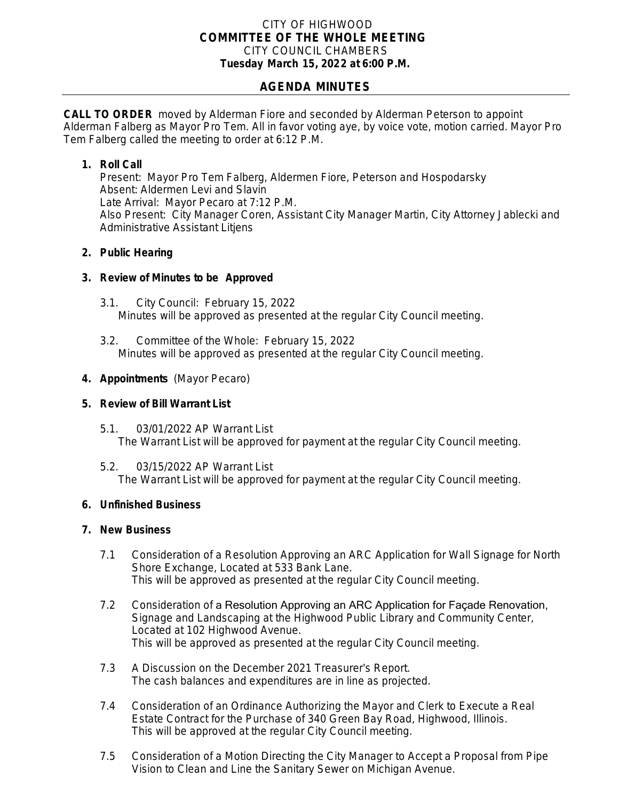#### CITY OF HIGHWOOD *COMMITTEE OF THE WHOLE MEETING* CITY COUNCIL CHAMBERS **Tuesday March 15, 2022 at 6:00 P.M.**

# **AGENDA MINUTES**

**CALL TO ORDER** moved by Alderman Fiore and seconded by Alderman Peterson to appoint Alderman Falberg as Mayor Pro Tem. All in favor voting aye, by voice vote, motion carried. Mayor Pro Tem Falberg called the meeting to order at 6:12 P.M.

## **1. Roll Call**

Present: Mayor Pro Tem Falberg, Aldermen Fiore, Peterson and Hospodarsky Absent: Aldermen Levi and Slavin Late Arrival: Mayor Pecaro at 7:12 P.M. Also Present: City Manager Coren, Assistant City Manager Martin, City Attorney Jablecki and Administrative Assistant Litjens

## **2. Public Hearing**

## **3. Review of Minutes to be Approved**

- 3.1. City Council: February 15, 2022 Minutes will be approved as presented at the regular City Council meeting.
- 3.2. Committee of the Whole: February 15, 2022 Minutes will be approved as presented at the regular City Council meeting.

## **4. Appointments** (Mayor Pecaro)

#### **5. Review of Bill Warrant List**

5.1. 03/01/2022 AP Warrant List The Warrant List will be approved for payment at the regular City Council meeting.

5.2. 03/15/2022 AP Warrant List The Warrant List will be approved for payment at the regular City Council meeting.

#### **6. Unfinished Business**

#### **7. New Business**

- 7.1 Consideration of a Resolution Approving an ARC Application for Wall Signage for North Shore Exchange, Located at 533 Bank Lane. This will be approved as presented at the regular City Council meeting.
- 7.2 Consideration of a Resolution Approving an ARC Application for Façade Renovation, Signage and Landscaping at the Highwood Public Library and Community Center, Located at 102 Highwood Avenue. This will be approved as presented at the regular City Council meeting.
- 7.3 A Discussion on the December 2021 Treasurer's Report. The cash balances and expenditures are in line as projected.
- 7.4 Consideration of an Ordinance Authorizing the Mayor and Clerk to Execute a Real Estate Contract for the Purchase of 340 Green Bay Road, Highwood, Illinois. This will be approved at the regular City Council meeting.
- 7.5 Consideration of a Motion Directing the City Manager to Accept a Proposal from Pipe Vision to Clean and Line the Sanitary Sewer on Michigan Avenue.